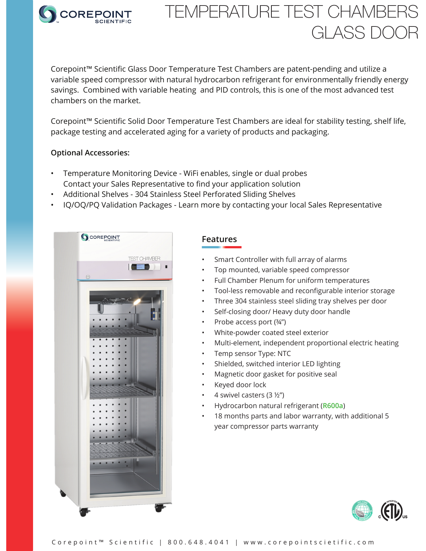

# TEMPERATURE TEST CHAMBERS GLASS DOOR

Corepoint™ Scientific Glass Door Temperature Test Chambers are patent-pending and utilize a variable speed compressor with natural hydrocarbon refrigerant for environmentally friendly energy savings. Combined with variable heating and PID controls, this is one of the most advanced test chambers on the market.

Corepoint™ Scientific Solid Door Temperature Test Chambers are ideal for stability testing, shelf life, package testing and accelerated aging for a variety of products and packaging.

#### **Optional Accessories:**

- Temperature Monitoring Device WiFi enables, single or dual probes Contact your Sales Representative to find your application solution
- Additional Shelves 304 Stainless Steel Perforated Sliding Shelves
- IQ/OQ/PQ Validation Packages Learn more by contacting your local Sales Representative



### **Features**

- Smart Controller with full array of alarms
- Top mounted, variable speed compressor
- Full Chamber Plenum for uniform temperatures
- Tool-less removable and reconfigurable interior storage
- Three 304 stainless steel sliding tray shelves per door
- Self-closing door/ Heavy duty door handle
- Probe access port (¾")
- White-powder coated steel exterior
- Multi-element, independent proportional electric heating
- Temp sensor Type: NTC
- Shielded, switched interior LED lighting
- Magnetic door gasket for positive seal
- Keyed door lock
- 4 swivel casters (3 ½")
- Hydrocarbon natural refrigerant (**R600a**)
- 18 months parts and labor warranty, with additional 5 year compressor parts warranty